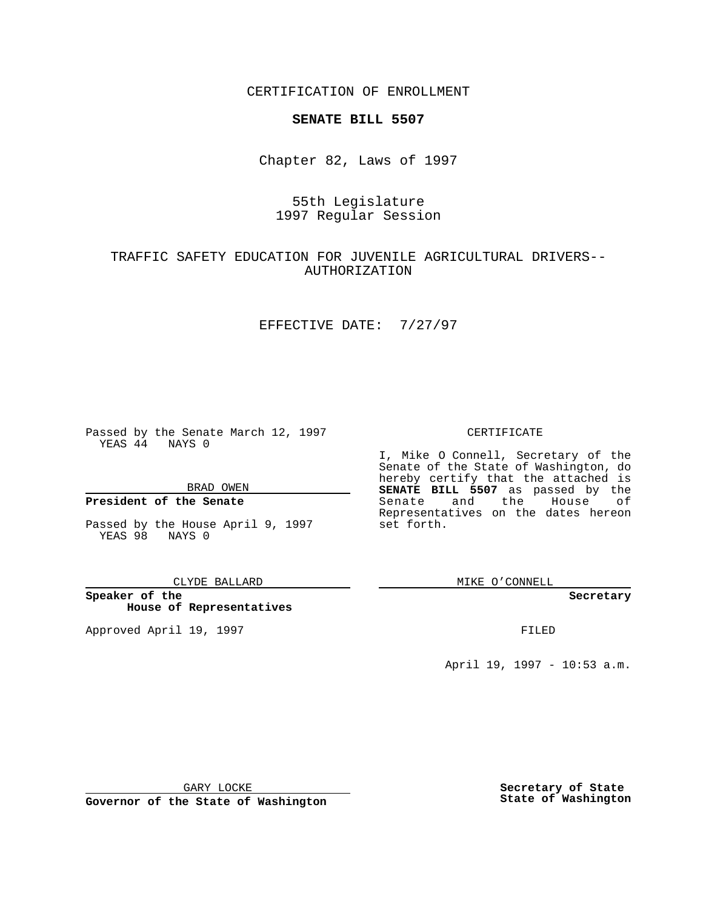CERTIFICATION OF ENROLLMENT

## **SENATE BILL 5507**

Chapter 82, Laws of 1997

# 55th Legislature 1997 Regular Session

# TRAFFIC SAFETY EDUCATION FOR JUVENILE AGRICULTURAL DRIVERS-- AUTHORIZATION

### EFFECTIVE DATE: 7/27/97

Passed by the Senate March 12, 1997 YEAS 44 NAYS 0

BRAD OWEN

### **President of the Senate**

Passed by the House April 9, 1997 YEAS 98 NAYS 0

CLYDE BALLARD

**Speaker of the House of Representatives**

Approved April 19, 1997 **FILED** 

#### CERTIFICATE

I, Mike O Connell, Secretary of the Senate of the State of Washington, do hereby certify that the attached is **SENATE BILL 5507** as passed by the Senate and the House of Representatives on the dates hereon set forth.

MIKE O'CONNELL

**Secretary**

April 19, 1997 - 10:53 a.m.

GARY LOCKE

**Governor of the State of Washington**

**Secretary of State State of Washington**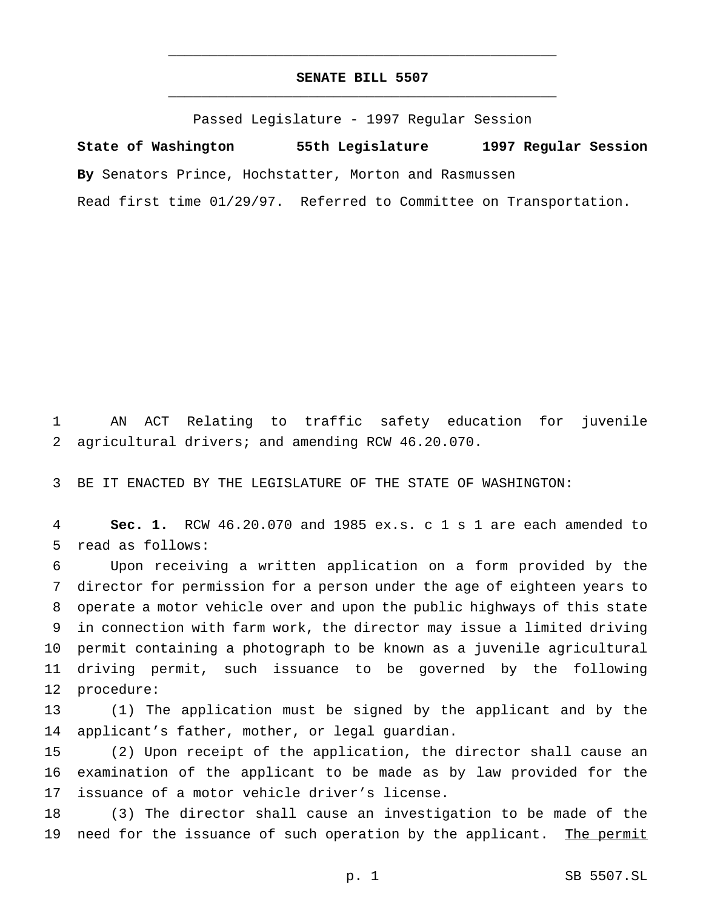### **SENATE BILL 5507** \_\_\_\_\_\_\_\_\_\_\_\_\_\_\_\_\_\_\_\_\_\_\_\_\_\_\_\_\_\_\_\_\_\_\_\_\_\_\_\_\_\_\_\_\_\_\_

\_\_\_\_\_\_\_\_\_\_\_\_\_\_\_\_\_\_\_\_\_\_\_\_\_\_\_\_\_\_\_\_\_\_\_\_\_\_\_\_\_\_\_\_\_\_\_

Passed Legislature - 1997 Regular Session

**State of Washington 55th Legislature 1997 Regular Session By** Senators Prince, Hochstatter, Morton and Rasmussen Read first time 01/29/97. Referred to Committee on Transportation.

 AN ACT Relating to traffic safety education for juvenile agricultural drivers; and amending RCW 46.20.070.

BE IT ENACTED BY THE LEGISLATURE OF THE STATE OF WASHINGTON:

 **Sec. 1.** RCW 46.20.070 and 1985 ex.s. c 1 s 1 are each amended to read as follows:

 Upon receiving a written application on a form provided by the director for permission for a person under the age of eighteen years to operate a motor vehicle over and upon the public highways of this state in connection with farm work, the director may issue a limited driving permit containing a photograph to be known as a juvenile agricultural driving permit, such issuance to be governed by the following procedure:

 (1) The application must be signed by the applicant and by the applicant's father, mother, or legal guardian.

 (2) Upon receipt of the application, the director shall cause an examination of the applicant to be made as by law provided for the issuance of a motor vehicle driver's license.

 (3) The director shall cause an investigation to be made of the 19 need for the issuance of such operation by the applicant. The permit